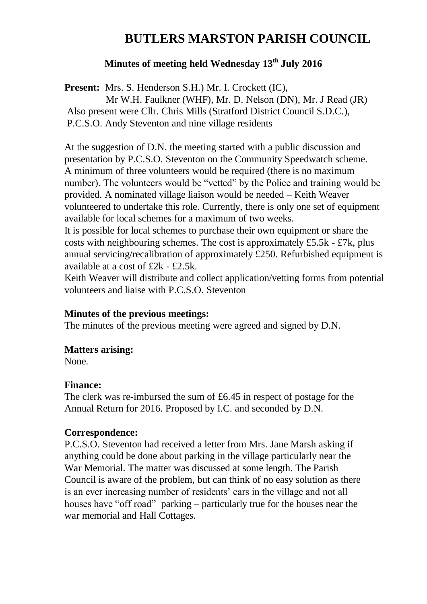# **BUTLERS MARSTON PARISH COUNCIL**

## **Minutes of meeting held Wednesday 13th July 2016**

**Present:** Mrs. S. Henderson S.H.) Mr. I. Crockett (IC), Mr W.H. Faulkner (WHF), Mr. D. Nelson (DN), Mr. J Read (JR) Also present were Cllr. Chris Mills (Stratford District Council S.D.C.), P.C.S.O. Andy Steventon and nine village residents

At the suggestion of D.N. the meeting started with a public discussion and presentation by P.C.S.O. Steventon on the Community Speedwatch scheme. A minimum of three volunteers would be required (there is no maximum number). The volunteers would be "vetted" by the Police and training would be provided. A nominated village liaison would be needed – Keith Weaver volunteered to undertake this role. Currently, there is only one set of equipment available for local schemes for a maximum of two weeks.

It is possible for local schemes to purchase their own equipment or share the costs with neighbouring schemes. The cost is approximately  $£5.5k - £7k$ , plus annual servicing/recalibration of approximately £250. Refurbished equipment is available at a cost of £2k - £2.5k.

Keith Weaver will distribute and collect application/vetting forms from potential volunteers and liaise with P.C.S.O. Steventon

#### **Minutes of the previous meetings:**

The minutes of the previous meeting were agreed and signed by D.N.

#### **Matters arising:**

None.

#### **Finance:**

The clerk was re-imbursed the sum of £6.45 in respect of postage for the Annual Return for 2016. Proposed by I.C. and seconded by D.N.

#### **Correspondence:**

P.C.S.O. Steventon had received a letter from Mrs. Jane Marsh asking if anything could be done about parking in the village particularly near the War Memorial. The matter was discussed at some length. The Parish Council is aware of the problem, but can think of no easy solution as there is an ever increasing number of residents' cars in the village and not all houses have "off road" parking – particularly true for the houses near the war memorial and Hall Cottages.